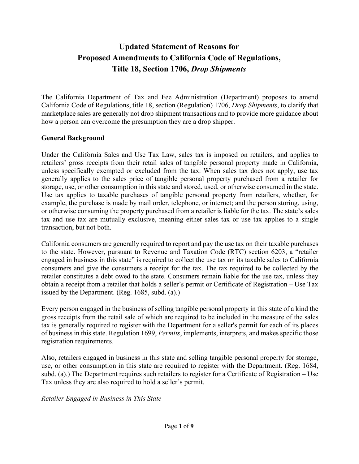# **Updated Statement of Reasons for Proposed Amendments to California Code of Regulations, Title 18, Section 1706,** *Drop Shipments*

The California Department of Tax and Fee Administration (Department) proposes to amend California Code of Regulations, title 18, section (Regulation) 1706, *Drop Shipments*, to clarify that marketplace sales are generally not drop shipment transactions and to provide more guidance about how a person can overcome the presumption they are a drop shipper.

## **General Background**

Under the California Sales and Use Tax Law, sales tax is imposed on retailers, and applies to retailers' gross receipts from their retail sales of tangible personal property made in California, unless specifically exempted or excluded from the tax. When sales tax does not apply, use tax generally applies to the sales price of tangible personal property purchased from a retailer for storage, use, or other consumption in this state and stored, used, or otherwise consumed in the state. Use tax applies to taxable purchases of tangible personal property from retailers, whether, for example, the purchase is made by mail order, telephone, or internet; and the person storing, using, or otherwise consuming the property purchased from a retailer is liable for the tax. The state's sales tax and use tax are mutually exclusive, meaning either sales tax or use tax applies to a single transaction, but not both.

California consumers are generally required to report and pay the use tax on their taxable purchases to the state. However, pursuant to Revenue and Taxation Code (RTC) section 6203, a "retailer engaged in business in this state" is required to collect the use tax on its taxable sales to California consumers and give the consumers a receipt for the tax. The tax required to be collected by the retailer constitutes a debt owed to the state. Consumers remain liable for the use tax, unless they obtain a receipt from a retailer that holds a seller's permit or Certificate of Registration – Use Tax issued by the Department. (Reg. 1685, subd. (a).)

Every person engaged in the business of selling tangible personal property in this state of a kind the gross receipts from the retail sale of which are required to be included in the measure of the sales tax is generally required to register with the Department for a seller's permit for each of its places of business in this state. Regulation 1699, *Permits*, implements, interprets, and makes specific those registration requirements.

Also, retailers engaged in business in this state and selling tangible personal property for storage, use, or other consumption in this state are required to register with the Department. (Reg. 1684, subd. (a).) The Department requires such retailers to register for a Certificate of Registration – Use Tax unless they are also required to hold a seller's permit.

*Retailer Engaged in Business in This State*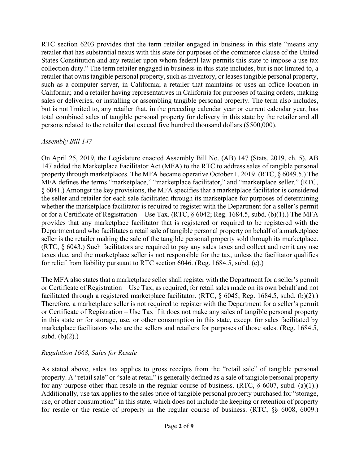RTC section 6203 provides that the term retailer engaged in business in this state "means any retailer that has substantial nexus with this state for purposes of the commerce clause of the United States Constitution and any retailer upon whom federal law permits this state to impose a use tax collection duty." The term retailer engaged in business in this state includes, but is not limited to, a retailer that owns tangible personal property, such as inventory, or leases tangible personal property, such as a computer server, in California; a retailer that maintains or uses an office location in California; and a retailer having representatives in California for purposes of taking orders, making sales or deliveries, or installing or assembling tangible personal property. The term also includes, but is not limited to, any retailer that, in the preceding calendar year or current calendar year, has total combined sales of tangible personal property for delivery in this state by the retailer and all persons related to the retailer that exceed five hundred thousand dollars (\$500,000).

## *Assembly Bill 147*

On April 25, 2019, the Legislature enacted Assembly Bill No. (AB) 147 (Stats. 2019, ch. 5). AB 147 added the Marketplace Facilitator Act (MFA) to the RTC to address sales of tangible personal property through marketplaces. The MFA became operative October 1, 2019. (RTC, § 6049.5.) The MFA defines the terms "marketplace," "marketplace facilitator," and "marketplace seller." (RTC, § 6041.) Amongst the key provisions, the MFA specifies that a marketplace facilitator is considered the seller and retailer for each sale facilitated through its marketplace for purposes of determining whether the marketplace facilitator is required to register with the Department for a seller's permit or for a Certificate of Registration – Use Tax. (RTC, § 6042; Reg. 1684.5, subd. (b)(1).) The MFA provides that any marketplace facilitator that is registered or required to be registered with the Department and who facilitates a retail sale of tangible personal property on behalf of a marketplace seller is the retailer making the sale of the tangible personal property sold through its marketplace. (RTC, § 6043.) Such facilitators are required to pay any sales taxes and collect and remit any use taxes due, and the marketplace seller is not responsible for the tax, unless the facilitator qualifies for relief from liability pursuant to RTC section 6046. (Reg. 1684.5, subd. (c).)

The MFA also states that a marketplace seller shall register with the Department for a seller's permit or Certificate of Registration – Use Tax, as required, for retail sales made on its own behalf and not facilitated through a registered marketplace facilitator. (RTC, § 6045; Reg. 1684.5, subd. (b)(2).) Therefore, a marketplace seller is not required to register with the Department for a seller's permit or Certificate of Registration – Use Tax if it does not make any sales of tangible personal property in this state or for storage, use, or other consumption in this state, except for sales facilitated by marketplace facilitators who are the sellers and retailers for purposes of those sales. (Reg. 1684.5, subd.  $(b)(2)$ .)

# *Regulation 1668, Sales for Resale*

As stated above, sales tax applies to gross receipts from the "retail sale" of tangible personal property. A "retail sale" or "sale at retail" is generally defined as a sale of tangible personal property for any purpose other than resale in the regular course of business. (RTC,  $\S$  6007, subd. (a)(1).) Additionally, use tax applies to the sales price of tangible personal property purchased for "storage, use, or other consumption" in this state, which does not include the keeping or retention of property for resale or the resale of property in the regular course of business. (RTC, §§ 6008, 6009.)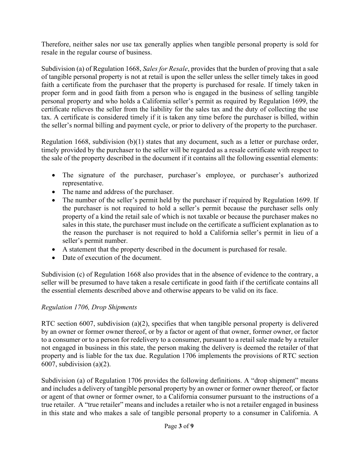Therefore, neither sales nor use tax generally applies when tangible personal property is sold for resale in the regular course of business.

Subdivision (a) of Regulation 1668, *Sales for Resale*, provides that the burden of proving that a sale of tangible personal property is not at retail is upon the seller unless the seller timely takes in good faith a certificate from the purchaser that the property is purchased for resale. If timely taken in proper form and in good faith from a person who is engaged in the business of selling tangible personal property and who holds a California seller's permit as required by Regulation 1699, the certificate relieves the seller from the liability for the sales tax and the duty of collecting the use tax. A certificate is considered timely if it is taken any time before the purchaser is billed, within the seller's normal billing and payment cycle, or prior to delivery of the property to the purchaser.

Regulation 1668, subdivision (b)(1) states that any document, such as a letter or purchase order, timely provided by the purchaser to the seller will be regarded as a resale certificate with respect to the sale of the property described in the document if it contains all the following essential elements:

- The signature of the purchaser, purchaser's employee, or purchaser's authorized representative.
- The name and address of the purchaser.
- The number of the seller's permit held by the purchaser if required by Regulation 1699. If the purchaser is not required to hold a seller's permit because the purchaser sells only property of a kind the retail sale of which is not taxable or because the purchaser makes no sales in this state, the purchaser must include on the certificate a sufficient explanation as to the reason the purchaser is not required to hold a California seller's permit in lieu of a seller's permit number.
- A statement that the property described in the document is purchased for resale.
- Date of execution of the document.

Subdivision (c) of Regulation 1668 also provides that in the absence of evidence to the contrary, a seller will be presumed to have taken a resale certificate in good faith if the certificate contains all the essential elements described above and otherwise appears to be valid on its face.

# *Regulation 1706, Drop Shipments*

RTC section 6007, subdivision (a)(2), specifies that when tangible personal property is delivered by an owner or former owner thereof, or by a factor or agent of that owner, former owner, or factor to a consumer or to a person for redelivery to a consumer, pursuant to a retail sale made by a retailer not engaged in business in this state, the person making the delivery is deemed the retailer of that property and is liable for the tax due. Regulation 1706 implements the provisions of RTC section 6007, subdivision  $(a)(2)$ .

Subdivision (a) of Regulation 1706 provides the following definitions. A "drop shipment" means and includes a delivery of tangible personal property by an owner or former owner thereof, or factor or agent of that owner or former owner, to a California consumer pursuant to the instructions of a true retailer. A "true retailer" means and includes a retailer who is not a retailer engaged in business in this state and who makes a sale of tangible personal property to a consumer in California. A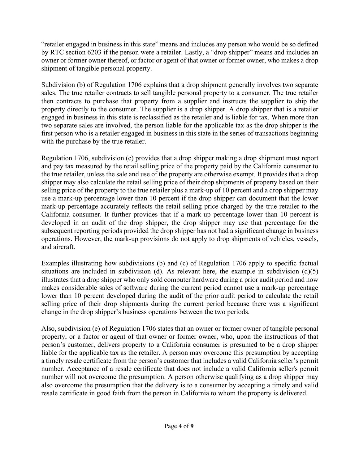"retailer engaged in business in this state" means and includes any person who would be so defined by RTC section 6203 if the person were a retailer. Lastly, a "drop shipper" means and includes an owner or former owner thereof, or factor or agent of that owner or former owner, who makes a drop shipment of tangible personal property.

Subdivision (b) of Regulation 1706 explains that a drop shipment generally involves two separate sales. The true retailer contracts to sell tangible personal property to a consumer. The true retailer then contracts to purchase that property from a supplier and instructs the supplier to ship the property directly to the consumer. The supplier is a drop shipper. A drop shipper that is a retailer engaged in business in this state is reclassified as the retailer and is liable for tax. When more than two separate sales are involved, the person liable for the applicable tax as the drop shipper is the first person who is a retailer engaged in business in this state in the series of transactions beginning with the purchase by the true retailer.

Regulation 1706, subdivision (c) provides that a drop shipper making a drop shipment must report and pay tax measured by the retail selling price of the property paid by the California consumer to the true retailer, unless the sale and use of the property are otherwise exempt. It provides that a drop shipper may also calculate the retail selling price of their drop shipments of property based on their selling price of the property to the true retailer plus a mark-up of 10 percent and a drop shipper may use a mark-up percentage lower than 10 percent if the drop shipper can document that the lower mark-up percentage accurately reflects the retail selling price charged by the true retailer to the California consumer. It further provides that if a mark-up percentage lower than 10 percent is developed in an audit of the drop shipper, the drop shipper may use that percentage for the subsequent reporting periods provided the drop shipper has not had a significant change in business operations. However, the mark-up provisions do not apply to drop shipments of vehicles, vessels, and aircraft.

Examples illustrating how subdivisions (b) and (c) of Regulation 1706 apply to specific factual situations are included in subdivision (d). As relevant here, the example in subdivision  $(d)(5)$ illustrates that a drop shipper who only sold computer hardware during a prior audit period and now makes considerable sales of software during the current period cannot use a mark-up percentage lower than 10 percent developed during the audit of the prior audit period to calculate the retail selling price of their drop shipments during the current period because there was a significant change in the drop shipper's business operations between the two periods.

Also, subdivision (e) of Regulation 1706 states that an owner or former owner of tangible personal property, or a factor or agent of that owner or former owner, who, upon the instructions of that person's customer, delivers property to a California consumer is presumed to be a drop shipper liable for the applicable tax as the retailer. A person may overcome this presumption by accepting a timely resale certificate from the person's customer that includes a valid California seller's permit number. Acceptance of a resale certificate that does not include a valid California seller's permit number will not overcome the presumption. A person otherwise qualifying as a drop shipper may also overcome the presumption that the delivery is to a consumer by accepting a timely and valid resale certificate in good faith from the person in California to whom the property is delivered.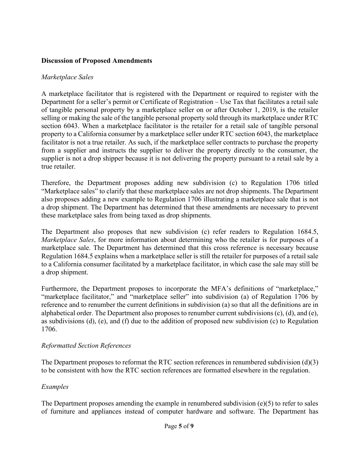## **Discussion of Proposed Amendments**

#### *Marketplace Sales*

A marketplace facilitator that is registered with the Department or required to register with the Department for a seller's permit or Certificate of Registration – Use Tax that facilitates a retail sale of tangible personal property by a marketplace seller on or after October 1, 2019, is the retailer selling or making the sale of the tangible personal property sold through its marketplace under RTC section 6043. When a marketplace facilitator is the retailer for a retail sale of tangible personal property to a California consumer by a marketplace seller under RTC section 6043, the marketplace facilitator is not a true retailer. As such, if the marketplace seller contracts to purchase the property from a supplier and instructs the supplier to deliver the property directly to the consumer, the supplier is not a drop shipper because it is not delivering the property pursuant to a retail sale by a true retailer.

Therefore, the Department proposes adding new subdivision (c) to Regulation 1706 titled "Marketplace sales" to clarify that these marketplace sales are not drop shipments. The Department also proposes adding a new example to Regulation 1706 illustrating a marketplace sale that is not a drop shipment. The Department has determined that these amendments are necessary to prevent these marketplace sales from being taxed as drop shipments.

The Department also proposes that new subdivision (c) refer readers to Regulation 1684.5, *Marketplace Sales*, for more information about determining who the retailer is for purposes of a marketplace sale. The Department has determined that this cross reference is necessary because Regulation 1684.5 explains when a marketplace seller is still the retailer for purposes of a retail sale to a California consumer facilitated by a marketplace facilitator, in which case the sale may still be a drop shipment.

Furthermore, the Department proposes to incorporate the MFA's definitions of "marketplace," "marketplace facilitator," and "marketplace seller" into subdivision (a) of Regulation 1706 by reference and to renumber the current definitions in subdivision (a) so that all the definitions are in alphabetical order. The Department also proposes to renumber current subdivisions (c), (d), and (e), as subdivisions (d), (e), and (f) due to the addition of proposed new subdivision (c) to Regulation 1706.

## *Reformatted Section References*

The Department proposes to reformat the RTC section references in renumbered subdivision (d)(3) to be consistent with how the RTC section references are formatted elsewhere in the regulation.

## *Examples*

The Department proposes amending the example in renumbered subdivision  $(e)(5)$  to refer to sales of furniture and appliances instead of computer hardware and software. The Department has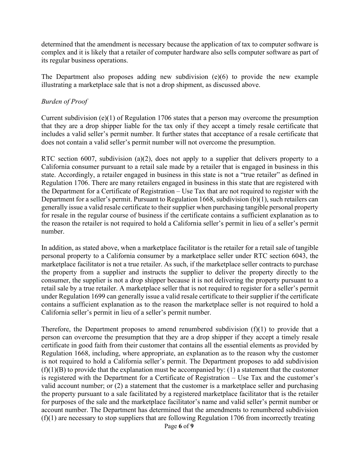determined that the amendment is necessary because the application of tax to computer software is complex and it is likely that a retailer of computer hardware also sells computer software as part of its regular business operations.

The Department also proposes adding new subdivision (e)(6) to provide the new example illustrating a marketplace sale that is not a drop shipment, as discussed above.

#### *Burden of Proof*

Current subdivision (e)(1) of Regulation 1706 states that a person may overcome the presumption that they are a drop shipper liable for the tax only if they accept a timely resale certificate that includes a valid seller's permit number. It further states that acceptance of a resale certificate that does not contain a valid seller's permit number will not overcome the presumption.

RTC section 6007, subdivision (a)(2), does not apply to a supplier that delivers property to a California consumer pursuant to a retail sale made by a retailer that is engaged in business in this state. Accordingly, a retailer engaged in business in this state is not a "true retailer" as defined in Regulation 1706. There are many retailers engaged in business in this state that are registered with the Department for a Certificate of Registration – Use Tax that are not required to register with the Department for a seller's permit. Pursuant to Regulation 1668, subdivision (b)(1), such retailers can generally issue a valid resale certificate to their supplier when purchasing tangible personal property for resale in the regular course of business if the certificate contains a sufficient explanation as to the reason the retailer is not required to hold a California seller's permit in lieu of a seller's permit number.

In addition, as stated above, when a marketplace facilitator is the retailer for a retail sale of tangible personal property to a California consumer by a marketplace seller under RTC section 6043, the marketplace facilitator is not a true retailer. As such, if the marketplace seller contracts to purchase the property from a supplier and instructs the supplier to deliver the property directly to the consumer, the supplier is not a drop shipper because it is not delivering the property pursuant to a retail sale by a true retailer. A marketplace seller that is not required to register for a seller's permit under Regulation 1699 can generally issue a valid resale certificate to their supplier if the certificate contains a sufficient explanation as to the reason the marketplace seller is not required to hold a California seller's permit in lieu of a seller's permit number.

Therefore, the Department proposes to amend renumbered subdivision  $(f)(1)$  to provide that a person can overcome the presumption that they are a drop shipper if they accept a timely resale certificate in good faith from their customer that contains all the essential elements as provided by Regulation 1668, including, where appropriate, an explanation as to the reason why the customer is not required to hold a California seller's permit. The Department proposes to add subdivision  $(f)(1)(B)$  to provide that the explanation must be accompanied by: (1) a statement that the customer is registered with the Department for a Certificate of Registration – Use Tax and the customer's valid account number; or (2) a statement that the customer is a marketplace seller and purchasing the property pursuant to a sale facilitated by a registered marketplace facilitator that is the retailer for purposes of the sale and the marketplace facilitator's name and valid seller's permit number or account number. The Department has determined that the amendments to renumbered subdivision  $(f)(1)$  are necessary to stop suppliers that are following Regulation 1706 from incorrectly treating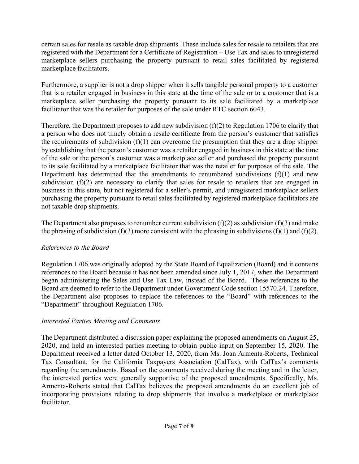certain sales for resale as taxable drop shipments. These include sales for resale to retailers that are registered with the Department for a Certificate of Registration – Use Tax and sales to unregistered marketplace sellers purchasing the property pursuant to retail sales facilitated by registered marketplace facilitators.

Furthermore, a supplier is not a drop shipper when it sells tangible personal property to a customer that is a retailer engaged in business in this state at the time of the sale or to a customer that is a marketplace seller purchasing the property pursuant to its sale facilitated by a marketplace facilitator that was the retailer for purposes of the sale under RTC section 6043.

Therefore, the Department proposes to add new subdivision (f)(2) to Regulation 1706 to clarify that a person who does not timely obtain a resale certificate from the person's customer that satisfies the requirements of subdivision  $(f)(1)$  can overcome the presumption that they are a drop shipper by establishing that the person's customer was a retailer engaged in business in this state at the time of the sale or the person's customer was a marketplace seller and purchased the property pursuant to its sale facilitated by a marketplace facilitator that was the retailer for purposes of the sale. The Department has determined that the amendments to renumbered subdivisions  $(f)(1)$  and new subdivision (f)(2) are necessary to clarify that sales for resale to retailers that are engaged in business in this state, but not registered for a seller's permit, and unregistered marketplace sellers purchasing the property pursuant to retail sales facilitated by registered marketplace facilitators are not taxable drop shipments.

The Department also proposes to renumber current subdivision  $(f)(2)$  as subdivision  $(f)(3)$  and make the phrasing of subdivision (f)(3) more consistent with the phrasing in subdivisions (f)(1) and (f)(2).

# *References to the Board*

Regulation 1706 was originally adopted by the State Board of Equalization (Board) and it contains references to the Board because it has not been amended since July 1, 2017, when the Department began administering the Sales and Use Tax Law, instead of the Board. These references to the Board are deemed to refer to the Department under Government Code section 15570.24. Therefore, the Department also proposes to replace the references to the "Board" with references to the "Department" throughout Regulation 1706.

# *Interested Parties Meeting and Comments*

The Department distributed a discussion paper explaining the proposed amendments on August 25, 2020, and held an interested parties meeting to obtain public input on September 15, 2020. The Department received a letter dated October 13, 2020, from Ms. Joan Armenta-Roberts, Technical Tax Consultant, for the California Taxpayers Association (CalTax), with CalTax's comments regarding the amendments. Based on the comments received during the meeting and in the letter, the interested parties were generally supportive of the proposed amendments. Specifically, Ms. Armenta-Roberts stated that CalTax believes the proposed amendments do an excellent job of incorporating provisions relating to drop shipments that involve a marketplace or marketplace facilitator.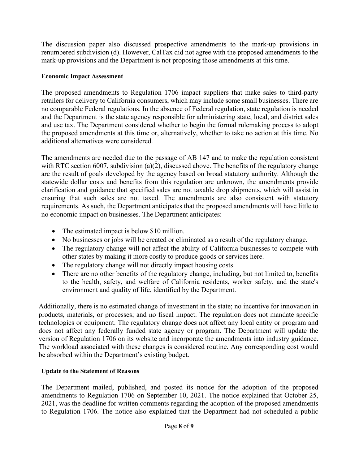The discussion paper also discussed prospective amendments to the mark-up provisions in renumbered subdivision (d). However, CalTax did not agree with the proposed amendments to the mark-up provisions and the Department is not proposing those amendments at this time.

#### **Economic Impact Assessment**

The proposed amendments to Regulation 1706 impact suppliers that make sales to third-party retailers for delivery to California consumers, which may include some small businesses. There are no comparable Federal regulations. In the absence of Federal regulation, state regulation is needed and the Department is the state agency responsible for administering state, local, and district sales and use tax. The Department considered whether to begin the formal rulemaking process to adopt the proposed amendments at this time or, alternatively, whether to take no action at this time. No additional alternatives were considered.

The amendments are needed due to the passage of AB 147 and to make the regulation consistent with RTC section 6007, subdivision (a)(2), discussed above. The benefits of the regulatory change are the result of goals developed by the agency based on broad statutory authority. Although the statewide dollar costs and benefits from this regulation are unknown, the amendments provide clarification and guidance that specified sales are not taxable drop shipments, which will assist in ensuring that such sales are not taxed. The amendments are also consistent with statutory requirements. As such, the Department anticipates that the proposed amendments will have little to no economic impact on businesses. The Department anticipates:

- The estimated impact is below \$10 million.
- No businesses or jobs will be created or eliminated as a result of the regulatory change.
- The regulatory change will not affect the ability of California businesses to compete with other states by making it more costly to produce goods or services here.
- The regulatory change will not directly impact housing costs.
- There are no other benefits of the regulatory change, including, but not limited to, benefits to the health, safety, and welfare of California residents, worker safety, and the state's environment and quality of life, identified by the Department.

Additionally, there is no estimated change of investment in the state; no incentive for innovation in products, materials, or processes; and no fiscal impact. The regulation does not mandate specific technologies or equipment. The regulatory change does not affect any local entity or program and does not affect any federally funded state agency or program. The Department will update the version of Regulation 1706 on its website and incorporate the amendments into industry guidance. The workload associated with these changes is considered routine. Any corresponding cost would be absorbed within the Department's existing budget.

## **Update to the Statement of Reasons**

The Department mailed, published, and posted its notice for the adoption of the proposed amendments to Regulation 1706 on September 10, 2021. The notice explained that October 25, 2021, was the deadline for written comments regarding the adoption of the proposed amendments to Regulation 1706. The notice also explained that the Department had not scheduled a public